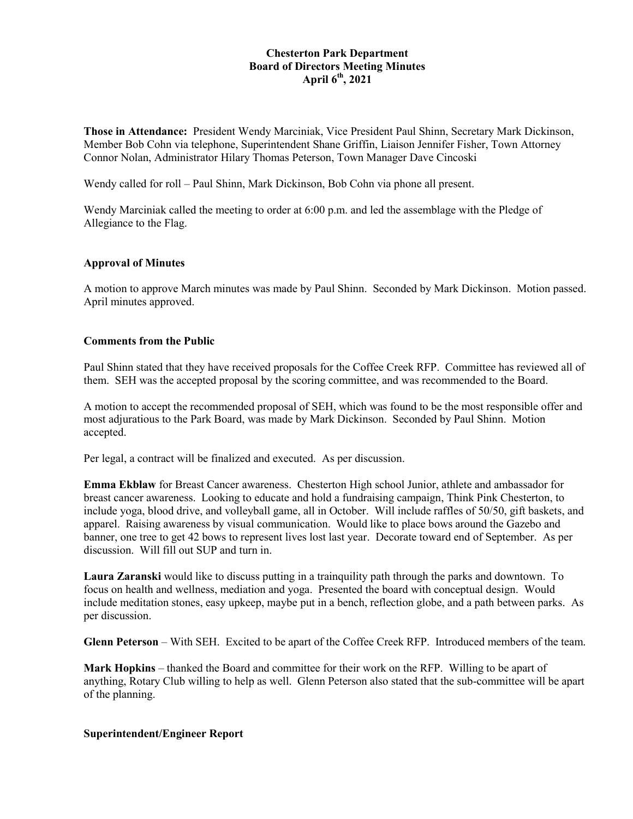## **Chesterton Park Department Board of Directors Meeting Minutes April 6th, 2021**

**Those in Attendance:** President Wendy Marciniak, Vice President Paul Shinn, Secretary Mark Dickinson, Member Bob Cohn via telephone, Superintendent Shane Griffin, Liaison Jennifer Fisher, Town Attorney Connor Nolan, Administrator Hilary Thomas Peterson, Town Manager Dave Cincoski

Wendy called for roll – Paul Shinn, Mark Dickinson, Bob Cohn via phone all present.

Wendy Marciniak called the meeting to order at 6:00 p.m. and led the assemblage with the Pledge of Allegiance to the Flag.

### **Approval of Minutes**

A motion to approve March minutes was made by Paul Shinn. Seconded by Mark Dickinson. Motion passed. April minutes approved.

#### **Comments from the Public**

Paul Shinn stated that they have received proposals for the Coffee Creek RFP. Committee has reviewed all of them. SEH was the accepted proposal by the scoring committee, and was recommended to the Board.

A motion to accept the recommended proposal of SEH, which was found to be the most responsible offer and most adjuratious to the Park Board, was made by Mark Dickinson. Seconded by Paul Shinn. Motion accepted.

Per legal, a contract will be finalized and executed. As per discussion.

**Emma Ekblaw** for Breast Cancer awareness. Chesterton High school Junior, athlete and ambassador for breast cancer awareness. Looking to educate and hold a fundraising campaign, Think Pink Chesterton, to include yoga, blood drive, and volleyball game, all in October. Will include raffles of 50/50, gift baskets, and apparel. Raising awareness by visual communication. Would like to place bows around the Gazebo and banner, one tree to get 42 bows to represent lives lost last year. Decorate toward end of September. As per discussion. Will fill out SUP and turn in.

**Laura Zaranski** would like to discuss putting in a trainquility path through the parks and downtown. To focus on health and wellness, mediation and yoga. Presented the board with conceptual design. Would include meditation stones, easy upkeep, maybe put in a bench, reflection globe, and a path between parks. As per discussion.

**Glenn Peterson** – With SEH. Excited to be apart of the Coffee Creek RFP. Introduced members of the team.

**Mark Hopkins** – thanked the Board and committee for their work on the RFP. Willing to be apart of anything, Rotary Club willing to help as well. Glenn Peterson also stated that the sub-committee will be apart of the planning.

### **Superintendent/Engineer Report**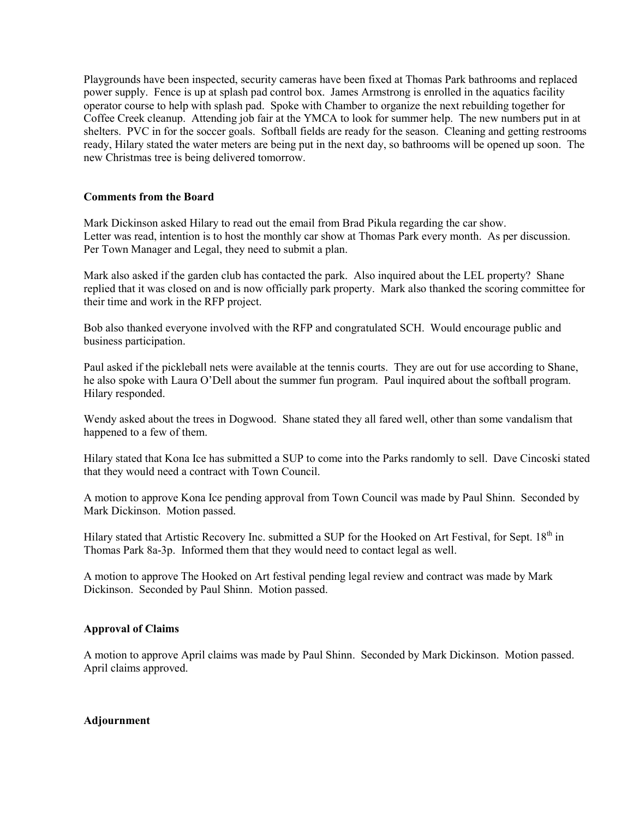Playgrounds have been inspected, security cameras have been fixed at Thomas Park bathrooms and replaced power supply. Fence is up at splash pad control box. James Armstrong is enrolled in the aquatics facility operator course to help with splash pad. Spoke with Chamber to organize the next rebuilding together for Coffee Creek cleanup. Attending job fair at the YMCA to look for summer help. The new numbers put in at shelters. PVC in for the soccer goals. Softball fields are ready for the season. Cleaning and getting restrooms ready, Hilary stated the water meters are being put in the next day, so bathrooms will be opened up soon. The new Christmas tree is being delivered tomorrow.

### **Comments from the Board**

Mark Dickinson asked Hilary to read out the email from Brad Pikula regarding the car show. Letter was read, intention is to host the monthly car show at Thomas Park every month. As per discussion. Per Town Manager and Legal, they need to submit a plan.

Mark also asked if the garden club has contacted the park. Also inquired about the LEL property? Shane replied that it was closed on and is now officially park property. Mark also thanked the scoring committee for their time and work in the RFP project.

Bob also thanked everyone involved with the RFP and congratulated SCH. Would encourage public and business participation.

Paul asked if the pickleball nets were available at the tennis courts. They are out for use according to Shane, he also spoke with Laura O'Dell about the summer fun program. Paul inquired about the softball program. Hilary responded.

Wendy asked about the trees in Dogwood. Shane stated they all fared well, other than some vandalism that happened to a few of them.

Hilary stated that Kona Ice has submitted a SUP to come into the Parks randomly to sell. Dave Cincoski stated that they would need a contract with Town Council.

A motion to approve Kona Ice pending approval from Town Council was made by Paul Shinn. Seconded by Mark Dickinson. Motion passed.

Hilary stated that Artistic Recovery Inc. submitted a SUP for the Hooked on Art Festival, for Sept. 18<sup>th</sup> in Thomas Park 8a-3p. Informed them that they would need to contact legal as well.

A motion to approve The Hooked on Art festival pending legal review and contract was made by Mark Dickinson. Seconded by Paul Shinn. Motion passed.

# **Approval of Claims**

A motion to approve April claims was made by Paul Shinn. Seconded by Mark Dickinson. Motion passed. April claims approved.

### **Adjournment**